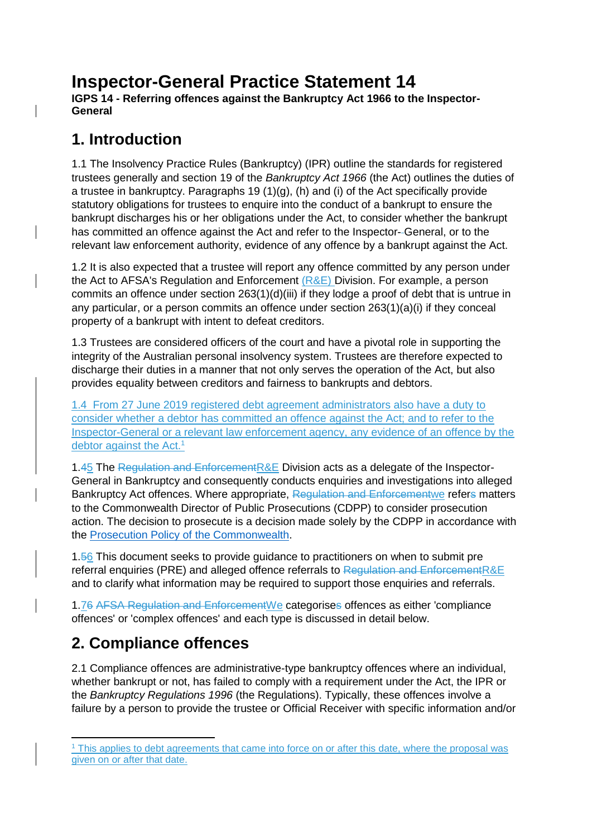# **Inspector-General Practice Statement 14**

**IGPS 14 - Referring offences against the Bankruptcy Act 1966 to the Inspector-General**

## **1. Introduction**

1.1 The Insolvency Practice Rules (Bankruptcy) (IPR) outline the standards for registered trustees generally and section 19 of the *Bankruptcy Act 1966* (the Act) outlines the duties of a trustee in bankruptcy. Paragraphs 19 (1)(g), (h) and (i) of the Act specifically provide statutory obligations for trustees to enquire into the conduct of a bankrupt to ensure the bankrupt discharges his or her obligations under the Act, to consider whether the bankrupt has committed an offence against the Act and refer to the Inspector- General, or to the relevant law enforcement authority, evidence of any offence by a bankrupt against the Act.

1.2 It is also expected that a trustee will report any offence committed by any person under the Act to AFSA's Regulation and Enforcement  $(R&E)$  Division. For example, a person commits an offence under section 263(1)(d)(iii) if they lodge a proof of debt that is untrue in any particular, or a person commits an offence under section 263(1)(a)(i) if they conceal property of a bankrupt with intent to defeat creditors.

1.3 Trustees are considered officers of the court and have a pivotal role in supporting the integrity of the Australian personal insolvency system. Trustees are therefore expected to discharge their duties in a manner that not only serves the operation of the Act, but also provides equality between creditors and fairness to bankrupts and debtors.

1.4 From 27 June 2019 registered debt agreement administrators also have a duty to consider whether a debtor has committed an offence against the Act; and to refer to the Inspector-General or a relevant law enforcement agency, any evidence of an offence by the debtor against the Act.<sup>1</sup>

1.45 The Regulation and EnforcementR&E Division acts as a delegate of the Inspector-General in Bankruptcy and consequently conducts enquiries and investigations into alleged Bankruptcy Act offences. Where appropriate, Regulation and Enforcementwe refers matters to the Commonwealth Director of Public Prosecutions (CDPP) to consider prosecution action. The decision to prosecute is a decision made solely by the CDPP in accordance with the [Prosecution Policy of the Commonwealth.](https://www.cdpp.gov.au/prosecution-process/prosecution-policy)

1.56 This document seeks to provide guidance to practitioners on when to submit pre referral enquiries (PRE) and alleged offence referrals to Regulation and EnforcementR&E and to clarify what information may be required to support those enquiries and referrals.

1.76 AFSA Regulation and EnforcementWe categorises offences as either 'compliance offences' or 'complex offences' and each type is discussed in detail below.

# **2. Compliance offences**

2.1 Compliance offences are administrative-type bankruptcy offences where an individual, whether bankrupt or not, has failed to comply with a requirement under the Act, the IPR or the *Bankruptcy Regulations 1996* (the Regulations). Typically, these offences involve a failure by a person to provide the trustee or Official Receiver with specific information and/or

<sup>-</sup><sup>1</sup> This applies to debt agreements that came into force on or after this date, where the proposal was given on or after that date.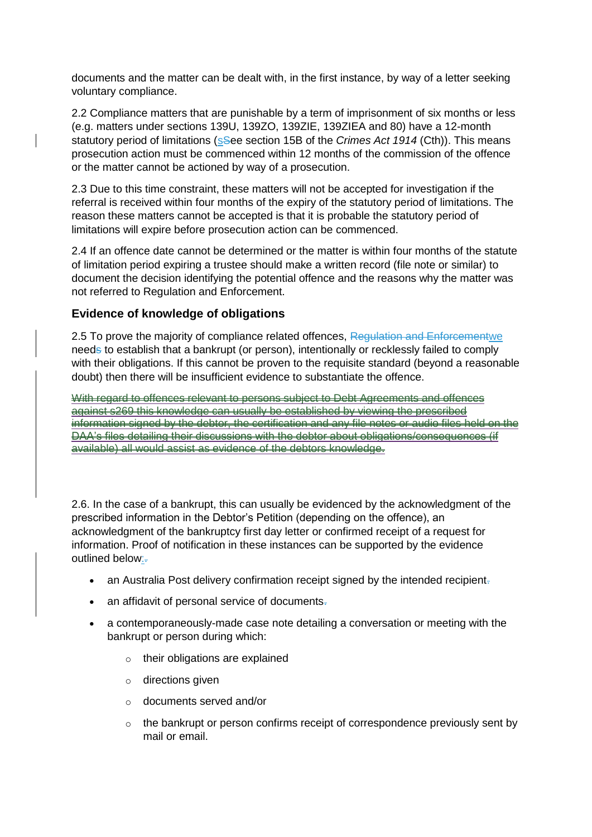documents and the matter can be dealt with, in the first instance, by way of a letter seeking voluntary compliance.

2.2 Compliance matters that are punishable by a term of imprisonment of six months or less (e.g. matters under sections 139U, 139ZO, 139ZIE, 139ZIEA and 80) have a 12-month statutory period of limitations (sSee section 15B of the *Crimes Act 1914* (Cth)). This means prosecution action must be commenced within 12 months of the commission of the offence or the matter cannot be actioned by way of a prosecution.

2.3 Due to this time constraint, these matters will not be accepted for investigation if the referral is received within four months of the expiry of the statutory period of limitations. The reason these matters cannot be accepted is that it is probable the statutory period of limitations will expire before prosecution action can be commenced.

2.4 If an offence date cannot be determined or the matter is within four months of the statute of limitation period expiring a trustee should make a written record (file note or similar) to document the decision identifying the potential offence and the reasons why the matter was not referred to Regulation and Enforcement.

#### **Evidence of knowledge of obligations**

2.5 To prove the majority of compliance related offences, Regulation and Enforcementwe needs to establish that a bankrupt (or person), intentionally or recklessly failed to comply with their obligations. If this cannot be proven to the requisite standard (beyond a reasonable doubt) then there will be insufficient evidence to substantiate the offence.

With regard to offences relevant to persons subject to Debt Agreements and offences against s269 this knowledge can usually be established by viewing the prescribed information signed by the debtor, the certification and any file notes or audio files held on the DAA's files detailing their discussions with the debtor about obligations/consequences (if available) all would assist as evidence of the debtors knowledge.

2.6. In the case of a bankrupt, this can usually be evidenced by the acknowledgment of the prescribed information in the Debtor's Petition (depending on the offence), an acknowledgment of the bankruptcy first day letter or confirmed receipt of a request for information. Proof of notification in these instances can be supported by the evidence outlined below:-

- an Australia Post delivery confirmation receipt signed by the intended recipient-
- an affidavit of personal service of documents-
- a contemporaneously-made case note detailing a conversation or meeting with the bankrupt or person during which:
	- $\circ$  their obligations are explained
	- o directions given
	- o documents served and/or
	- o the bankrupt or person confirms receipt of correspondence previously sent by mail or email.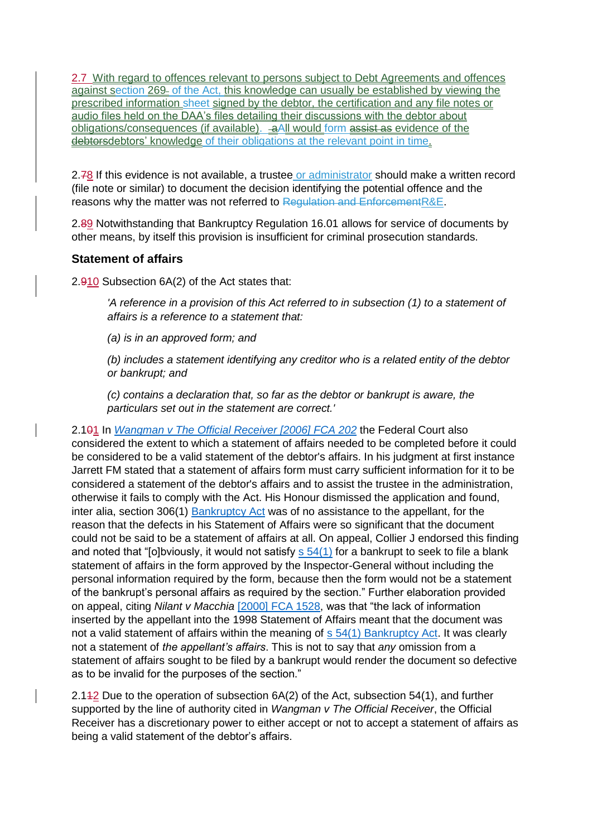2.7 With regard to offences relevant to persons subject to Debt Agreements and offences against section 269 of the Act, this knowledge can usually be established by viewing the prescribed information sheet signed by the debtor, the certification and any file notes or audio files held on the DAA's files detailing their discussions with the debtor about obligations/consequences (if available). aAll would form assist as evidence of the debtorsdebtors' knowledge of their obligations at the relevant point in time.

2.78 If this evidence is not available, a trustee or administrator should make a written record (file note or similar) to document the decision identifying the potential offence and the reasons why the matter was not referred to Regulation and EnforcementR&E.

2.89 Notwithstanding that Bankruptcy Regulation 16.01 allows for service of documents by other means, by itself this provision is insufficient for criminal prosecution standards.

#### **Statement of affairs**

2.910 Subsection 6A(2) of the Act states that:

*'A reference in a provision of this Act referred to in subsection (1) to a statement of affairs is a reference to a statement that:*

*(a) is in an approved form; and*

*(b) includes a statement identifying any creditor who is a related entity of the debtor or bankrupt; and*

*(c) contains a declaration that, so far as the debtor or bankrupt is aware, the particulars set out in the statement are correct.'*

2.101 In *[Wangman v The Official Receiver \[2006\] FCA 202](http://www.austlii.edu.au/cgi-bin/sinodisp/au/cases/cth/FCA/2006/202.html)* the Federal Court also considered the extent to which a statement of affairs needed to be completed before it could be considered to be a valid statement of the debtor's affairs. In his judgment at first instance Jarrett FM stated that a statement of affairs form must carry sufficient information for it to be considered a statement of the debtor's affairs and to assist the trustee in the administration, otherwise it fails to comply with the Act. His Honour dismissed the application and found, inter alia, section 306(1) [Bankruptcy Act](http://www.austlii.edu.au/au/legis/cth/consol_act/ba1966142/) was of no assistance to the appellant, for the reason that the defects in his Statement of Affairs were so significant that the document could not be said to be a statement of affairs at all. On appeal, Collier J endorsed this finding and noted that "[o]bviously, it would not satisfy  $s$  54(1) for a bankrupt to seek to file a blank statement of affairs in the form approved by the Inspector-General without including the personal information required by the form, because then the form would not be a statement of the bankrupt's personal affairs as required by the section." Further elaboration provided on appeal, citing *Nilant v Macchia* [\[2000\] FCA 1528,](http://www8.austlii.edu.au/cgi-bin/viewdoc/au/cases/cth/FCA/2000/1528.html) was that "the lack of information inserted by the appellant into the 1998 Statement of Affairs meant that the document was not a valid statement of affairs within the meaning of [s 54\(1\) Bankruptcy Act.](http://www.austlii.edu.au/au/legis/cth/consol_act/ba1966142/s54.html) It was clearly not a statement of *the appellant's affairs*. This is not to say that *any* omission from a statement of affairs sought to be filed by a bankrupt would render the document so defective as to be invalid for the purposes of the section."

2.112 Due to the operation of subsection 6A(2) of the Act, subsection 54(1), and further supported by the line of authority cited in *Wangman v The Official Receiver*, the Official Receiver has a discretionary power to either accept or not to accept a statement of affairs as being a valid statement of the debtor's affairs.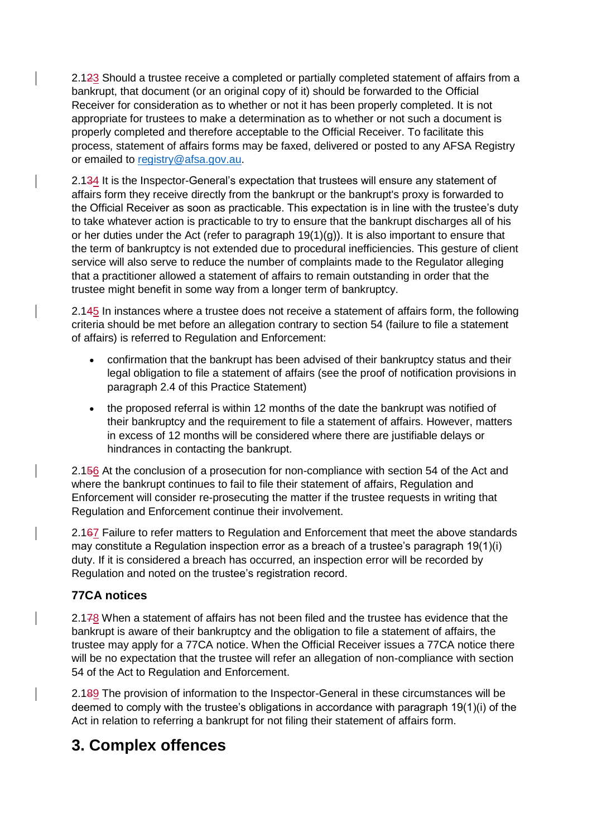2.123 Should a trustee receive a completed or partially completed statement of affairs from a bankrupt, that document (or an original copy of it) should be forwarded to the Official Receiver for consideration as to whether or not it has been properly completed. It is not appropriate for trustees to make a determination as to whether or not such a document is properly completed and therefore acceptable to the Official Receiver. To facilitate this process, statement of affairs forms may be faxed, delivered or posted to any AFSA Registry or emailed to [registry@afsa.gov.au.](mailto:registry@afsa.gov.au)

2.134 It is the Inspector-General's expectation that trustees will ensure any statement of affairs form they receive directly from the bankrupt or the bankrupt's proxy is forwarded to the Official Receiver as soon as practicable. This expectation is in line with the trustee's duty to take whatever action is practicable to try to ensure that the bankrupt discharges all of his or her duties under the Act (refer to paragraph  $19(1)(q)$ ). It is also important to ensure that the term of bankruptcy is not extended due to procedural inefficiencies. This gesture of client service will also serve to reduce the number of complaints made to the Regulator alleging that a practitioner allowed a statement of affairs to remain outstanding in order that the trustee might benefit in some way from a longer term of bankruptcy.

2.145 In instances where a trustee does not receive a statement of affairs form, the following criteria should be met before an allegation contrary to section 54 (failure to file a statement of affairs) is referred to Regulation and Enforcement:

- confirmation that the bankrupt has been advised of their bankruptcy status and their legal obligation to file a statement of affairs (see the proof of notification provisions in paragraph 2.4 of this Practice Statement)
- the proposed referral is within 12 months of the date the bankrupt was notified of their bankruptcy and the requirement to file a statement of affairs. However, matters in excess of 12 months will be considered where there are justifiable delays or hindrances in contacting the bankrupt.

2.156 At the conclusion of a prosecution for non-compliance with section 54 of the Act and where the bankrupt continues to fail to file their statement of affairs, Regulation and Enforcement will consider re-prosecuting the matter if the trustee requests in writing that Regulation and Enforcement continue their involvement.

2.167 Failure to refer matters to Regulation and Enforcement that meet the above standards may constitute a Regulation inspection error as a breach of a trustee's paragraph 19(1)(i) duty. If it is considered a breach has occurred, an inspection error will be recorded by Regulation and noted on the trustee's registration record.

#### **77CA notices**

2.178 When a statement of affairs has not been filed and the trustee has evidence that the bankrupt is aware of their bankruptcy and the obligation to file a statement of affairs, the trustee may apply for a 77CA notice. When the Official Receiver issues a 77CA notice there will be no expectation that the trustee will refer an allegation of non-compliance with section 54 of the Act to Regulation and Enforcement.

2.189 The provision of information to the Inspector-General in these circumstances will be deemed to comply with the trustee's obligations in accordance with paragraph 19(1)(i) of the Act in relation to referring a bankrupt for not filing their statement of affairs form.

#### **3. Complex offences**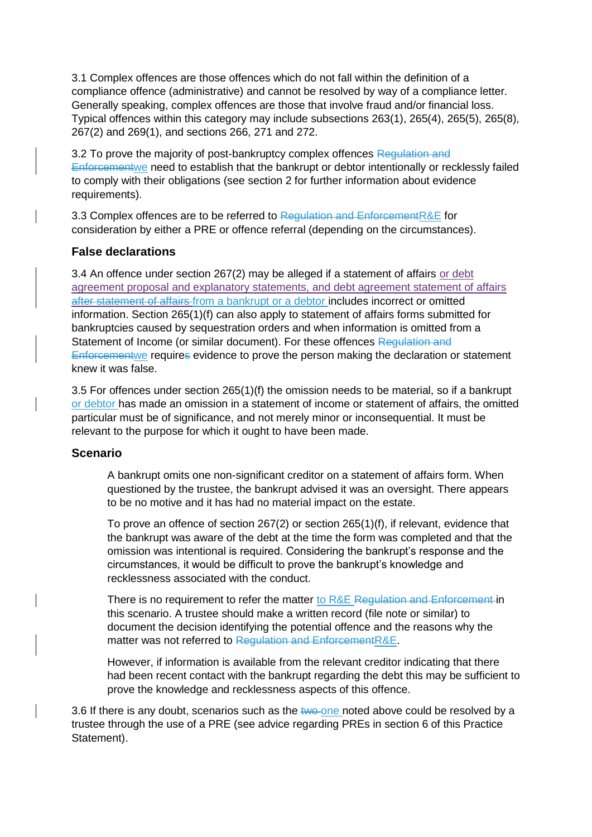3.1 Complex offences are those offences which do not fall within the definition of a compliance offence (administrative) and cannot be resolved by way of a compliance letter. Generally speaking, complex offences are those that involve fraud and/or financial loss. Typical offences within this category may include subsections 263(1), 265(4), 265(5), 265(8), 267(2) and 269(1), and sections 266, 271 and 272.

3.2 To prove the majority of post-bankruptcy complex offences Regulation and Enforcementwe need to establish that the bankrupt or debtor intentionally or recklessly failed to comply with their obligations (see section 2 for further information about evidence requirements).

3.3 Complex offences are to be referred to Regulation and EnforcementR&E for consideration by either a PRE or offence referral (depending on the circumstances).

#### **False declarations**

3.4 An offence under section 267(2) may be alleged if a statement of affairs or debt agreement proposal and explanatory statements, and debt agreement statement of affairs after statement of affairs from a bankrupt or a debtor includes incorrect or omitted information. Section 265(1)(f) can also apply to statement of affairs forms submitted for bankruptcies caused by sequestration orders and when information is omitted from a Statement of Income (or similar document). For these offences Regulation and Enforcementwe requires evidence to prove the person making the declaration or statement knew it was false.

3.5 For offences under section 265(1)(f) the omission needs to be material, so if a bankrupt or debtor has made an omission in a statement of income or statement of affairs, the omitted particular must be of significance, and not merely minor or inconsequential. It must be relevant to the purpose for which it ought to have been made.

#### **Scenario**

A bankrupt omits one non-significant creditor on a statement of affairs form. When questioned by the trustee, the bankrupt advised it was an oversight. There appears to be no motive and it has had no material impact on the estate.

To prove an offence of section 267(2) or section 265(1)(f), if relevant, evidence that the bankrupt was aware of the debt at the time the form was completed and that the omission was intentional is required. Considering the bankrupt's response and the circumstances, it would be difficult to prove the bankrupt's knowledge and recklessness associated with the conduct.

There is no requirement to refer the matter to R&E Regulation and Enforcement in this scenario. A trustee should make a written record (file note or similar) to document the decision identifying the potential offence and the reasons why the matter was not referred to Regulation and EnforcementR&E.

However, if information is available from the relevant creditor indicating that there had been recent contact with the bankrupt regarding the debt this may be sufficient to prove the knowledge and recklessness aspects of this offence.

3.6 If there is any doubt, scenarios such as the two one noted above could be resolved by a trustee through the use of a PRE (see advice regarding PREs in section 6 of this Practice Statement).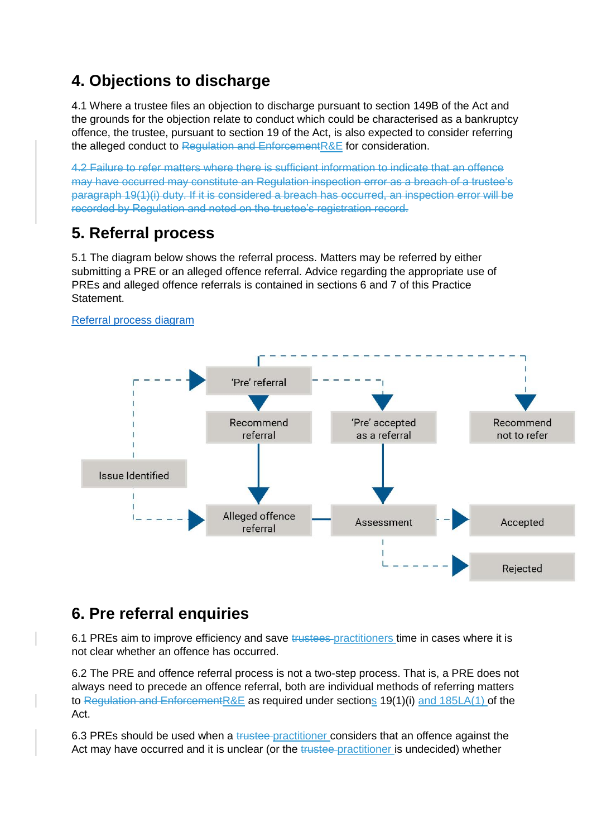### **4. Objections to discharge**

4.1 Where a trustee files an objection to discharge pursuant to section 149B of the Act and the grounds for the objection relate to conduct which could be characterised as a bankruptcy offence, the trustee, pursuant to section 19 of the Act, is also expected to consider referring the alleged conduct to Regulation and EnforcementR&E for consideration.

4.2 Failure to refer matters where there is sufficient information to indicate that an offence may have occurred may constitute an Regulation inspection error as a breach of a trustee's paragraph 19(1)(i) duty. If it is considered a breach has occurred, an inspection error will be recorded by Regulation and noted on the trustee's registration record.

## **5. Referral process**

5.1 The diagram below shows the referral process. Matters may be referred by either submitting a PRE or an alleged offence referral. Advice regarding the appropriate use of PREs and alleged offence referrals is contained in sections 6 and 7 of this Practice Statement.



#### [Referral process diagram](https://www.afsa.gov.au/files/referral-process-diagram)

### **6. Pre referral enquiries**

6.1 PREs aim to improve efficiency and save trustees practitioners time in cases where it is not clear whether an offence has occurred.

6.2 The PRE and offence referral process is not a two-step process. That is, a PRE does not always need to precede an offence referral, both are individual methods of referring matters to Regulation and EnforcementR&E as required under sections 19(1)(i) and 185LA(1) of the Act.

6.3 PREs should be used when a trustee practitioner considers that an offence against the Act may have occurred and it is unclear (or the trustee-practitioner is undecided) whether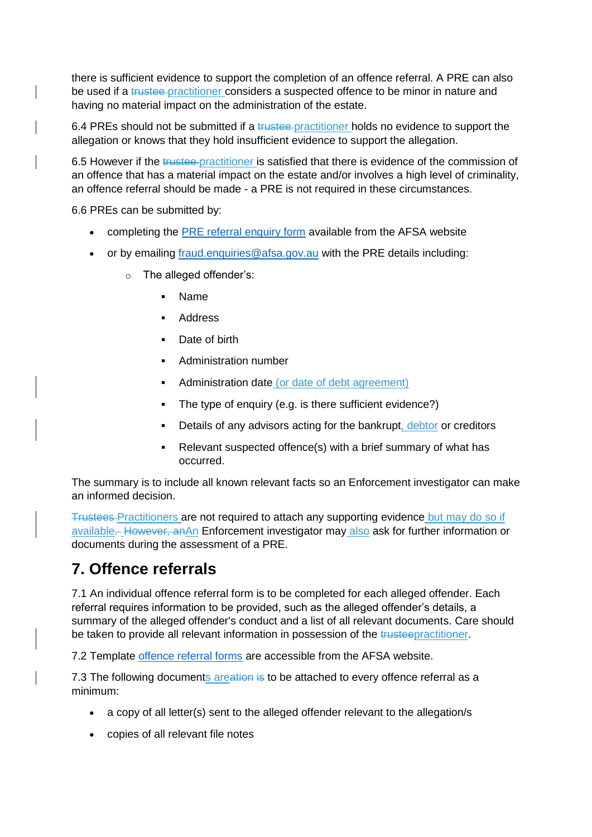there is sufficient evidence to support the completion of an offence referral. A PRE can also be used if a trustee practitioner considers a suspected offence to be minor in nature and having no material impact on the administration of the estate.

6.4 PREs should not be submitted if a trustee-practitioner holds no evidence to support the allegation or knows that they hold insufficient evidence to support the allegation.

6.5 However if the trustee-practitioner is satisfied that there is evidence of the commission of an offence that has a material impact on the estate and/or involves a high level of criminality, an offence referral should be made - a PRE is not required in these circumstances.

6.6 PREs can be submitted by:

- completing the [PRE referral enquiry form](https://www.afsa.gov.au/insolvency/how-we-can-help/forms/pre-referral-enquiry-form) available from the AFSA website
- or by emailing [fraud.enquiries@afsa.gov.au](mailto:fraud.enquiries@afsa.gov.au) with the PRE details including:
	- o The alleged offender's:
		- Name
		- **Address**
		- Date of birth
		- Administration number
		- Administration date (or date of debt agreement)
		- The type of enquiry (e.g. is there sufficient evidence?)
		- Details of any advisors acting for the bankrupt, debtor or creditors
		- Relevant suspected offence(s) with a brief summary of what has occurred.

The summary is to include all known relevant facts so an Enforcement investigator can make an informed decision.

Trustees Practitioners are not required to attach any supporting evidence but may do so if available. However, anAn Enforcement investigator may also ask for further information or documents during the assessment of a PRE.

### **7. Offence referrals**

7.1 An individual offence referral form is to be completed for each alleged offender. Each referral requires information to be provided, such as the alleged offender's details, a summary of the alleged offender's conduct and a list of all relevant documents. Care should be taken to provide all relevant information in possession of the trusteepractitioner.

7.2 Template [offence referral forms](https://www.afsa.gov.au/insolvency/how-we-can-help/forms/alleged-offence-referral-template) are accessible from the AFSA website.

7.3 The following documents areation is to be attached to every offence referral as a minimum:

- a copy of all letter(s) sent to the alleged offender relevant to the allegation/s
- copies of all relevant file notes